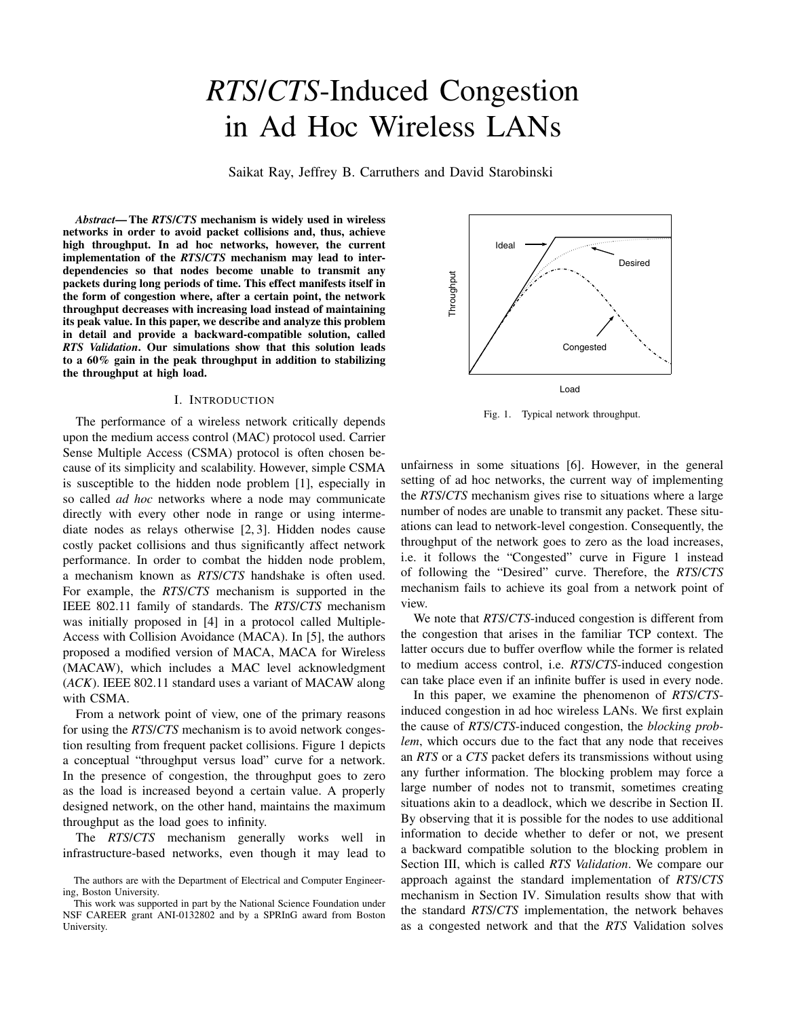# *RTS*/*CTS*-Induced Congestion in Ad Hoc Wireless LANs

Saikat Ray, Jeffrey B. Carruthers and David Starobinski

*Abstract***— The** *RTS***/***CTS* **mechanism is widely used in wireless networks in order to avoid packet collisions and, thus, achieve high throughput. In ad hoc networks, however, the current implementation of the** *RTS***/***CTS* **mechanism may lead to interdependencies so that nodes become unable to transmit any packets during long periods of time. This effect manifests itself in the form of congestion where, after a certain point, the network throughput decreases with increasing load instead of maintaining its peak value. In this paper, we describe and analyze this problem in detail and provide a backward-compatible solution, called** *RTS Validation***. Our simulations show that this solution leads to a 60% gain in the peak throughput in addition to stabilizing the throughput at high load.**

#### I. INTRODUCTION

The performance of a wireless network critically depends upon the medium access control (MAC) protocol used. Carrier Sense Multiple Access (CSMA) protocol is often chosen because of its simplicity and scalability. However, simple CSMA is susceptible to the hidden node problem [1], especially in so called *ad hoc* networks where a node may communicate directly with every other node in range or using intermediate nodes as relays otherwise [2, 3]. Hidden nodes cause costly packet collisions and thus significantly affect network performance. In order to combat the hidden node problem, a mechanism known as *RTS*/*CTS* handshake is often used. For example, the *RTS*/*CTS* mechanism is supported in the IEEE 802.11 family of standards. The *RTS*/*CTS* mechanism was initially proposed in [4] in a protocol called Multiple-Access with Collision Avoidance (MACA). In [5], the authors proposed a modified version of MACA, MACA for Wireless (MACAW), which includes a MAC level acknowledgment (*ACK*). IEEE 802.11 standard uses a variant of MACAW along with CSMA.

From a network point of view, one of the primary reasons for using the *RTS*/*CTS* mechanism is to avoid network congestion resulting from frequent packet collisions. Figure 1 depicts a conceptual "throughput versus load" curve for a network. In the presence of congestion, the throughput goes to zero as the load is increased beyond a certain value. A properly designed network, on the other hand, maintains the maximum throughput as the load goes to infinity.

The *RTS*/*CTS* mechanism generally works well in infrastructure-based networks, even though it may lead to



Fig. 1. Typical network throughput.

unfairness in some situations [6]. However, in the general setting of ad hoc networks, the current way of implementing the *RTS*/*CTS* mechanism gives rise to situations where a large number of nodes are unable to transmit any packet. These situations can lead to network-level congestion. Consequently, the throughput of the network goes to zero as the load increases, i.e. it follows the "Congested" curve in Figure 1 instead of following the "Desired" curve. Therefore, the *RTS*/*CTS* mechanism fails to achieve its goal from a network point of view.

We note that *RTS*/*CTS*-induced congestion is different from the congestion that arises in the familiar TCP context. The latter occurs due to buffer overflow while the former is related to medium access control, i.e. *RTS*/*CTS*-induced congestion can take place even if an infinite buffer is used in every node.

In this paper, we examine the phenomenon of *RTS*/*CTS*induced congestion in ad hoc wireless LANs. We first explain the cause of *RTS*/*CTS*-induced congestion, the *blocking problem*, which occurs due to the fact that any node that receives an *RTS* or a *CTS* packet defers its transmissions without using any further information. The blocking problem may force a large number of nodes not to transmit, sometimes creating situations akin to a deadlock, which we describe in Section II. By observing that it is possible for the nodes to use additional information to decide whether to defer or not, we present a backward compatible solution to the blocking problem in Section III, which is called *RTS Validation*. We compare our approach against the standard implementation of *RTS*/*CTS* mechanism in Section IV. Simulation results show that with the standard *RTS*/*CTS* implementation, the network behaves as a congested network and that the *RTS* Validation solves

The authors are with the Department of Electrical and Computer Engineering, Boston University.

This work was supported in part by the National Science Foundation under NSF CAREER grant ANI-0132802 and by a SPRInG award from Boston University.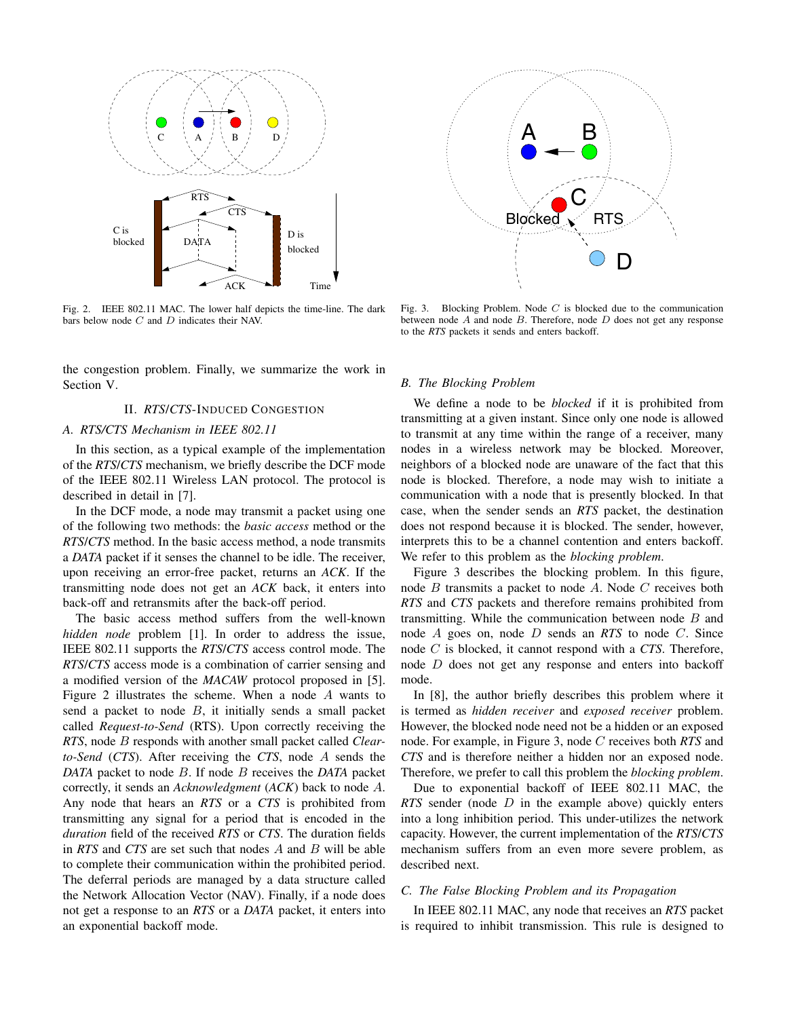

Fig. 2. IEEE 802.11 MAC. The lower half depicts the time-line. The dark bars below node *C* and *D* indicates their NAV.

the congestion problem. Finally, we summarize the work in Section V.

## II. *RTS*/*CTS*-INDUCED CONGESTION

# *A. RTS/CTS Mechanism in IEEE 802.11*

In this section, as a typical example of the implementation of the *RTS*/*CTS* mechanism, we briefly describe the DCF mode of the IEEE 802.11 Wireless LAN protocol. The protocol is described in detail in [7].

In the DCF mode, a node may transmit a packet using one of the following two methods: the *basic access* method or the *RTS*/*CTS* method. In the basic access method, a node transmits a *DATA* packet if it senses the channel to be idle. The receiver, upon receiving an error-free packet, returns an *ACK*. If the transmitting node does not get an *ACK* back, it enters into back-off and retransmits after the back-off period.

The basic access method suffers from the well-known *hidden node* problem [1]. In order to address the issue, IEEE 802.11 supports the *RTS*/*CTS* access control mode. The *RTS*/*CTS* access mode is a combination of carrier sensing and a modified version of the *MACAW* protocol proposed in [5]. Figure 2 illustrates the scheme. When a node *A* wants to send a packet to node *B*, it initially sends a small packet called *Request-to-Send* (RTS). Upon correctly receiving the *RTS*, node *B* responds with another small packet called *Clearto-Send* (*CTS*). After receiving the *CTS*, node *A* sends the *DATA* packet to node *B*. If node *B* receives the *DATA* packet correctly, it sends an *Acknowledgment* (*ACK*) back to node *A*. Any node that hears an *RTS* or a *CTS* is prohibited from transmitting any signal for a period that is encoded in the *duration* field of the received *RTS* or *CTS*. The duration fields in *RTS* and *CTS* are set such that nodes *A* and *B* will be able to complete their communication within the prohibited period. The deferral periods are managed by a data structure called the Network Allocation Vector (NAV). Finally, if a node does not get a response to an *RTS* or a *DATA* packet, it enters into an exponential backoff mode.



Fig. 3. Blocking Problem. Node *C* is blocked due to the communication between node *A* and node *B*. Therefore, node *D* does not get any response to the *RTS* packets it sends and enters backoff.

## *B. The Blocking Problem*

We define a node to be *blocked* if it is prohibited from transmitting at a given instant. Since only one node is allowed to transmit at any time within the range of a receiver, many nodes in a wireless network may be blocked. Moreover, neighbors of a blocked node are unaware of the fact that this node is blocked. Therefore, a node may wish to initiate a communication with a node that is presently blocked. In that case, when the sender sends an *RTS* packet, the destination does not respond because it is blocked. The sender, however, interprets this to be a channel contention and enters backoff. We refer to this problem as the *blocking problem*.

Figure 3 describes the blocking problem. In this figure, node *B* transmits a packet to node *A*. Node *C* receives both *RTS* and *CTS* packets and therefore remains prohibited from transmitting. While the communication between node *B* and node *A* goes on, node *D* sends an *RTS* to node *C*. Since node *C* is blocked, it cannot respond with a *CTS*. Therefore, node *D* does not get any response and enters into backoff mode.

In [8], the author briefly describes this problem where it is termed as *hidden receiver* and *exposed receiver* problem. However, the blocked node need not be a hidden or an exposed node. For example, in Figure 3, node *C* receives both *RTS* and *CTS* and is therefore neither a hidden nor an exposed node. Therefore, we prefer to call this problem the *blocking problem*.

Due to exponential backoff of IEEE 802.11 MAC, the *RTS* sender (node *D* in the example above) quickly enters into a long inhibition period. This under-utilizes the network capacity. However, the current implementation of the *RTS*/*CTS* mechanism suffers from an even more severe problem, as described next.

## *C. The False Blocking Problem and its Propagation*

In IEEE 802.11 MAC, any node that receives an *RTS* packet is required to inhibit transmission. This rule is designed to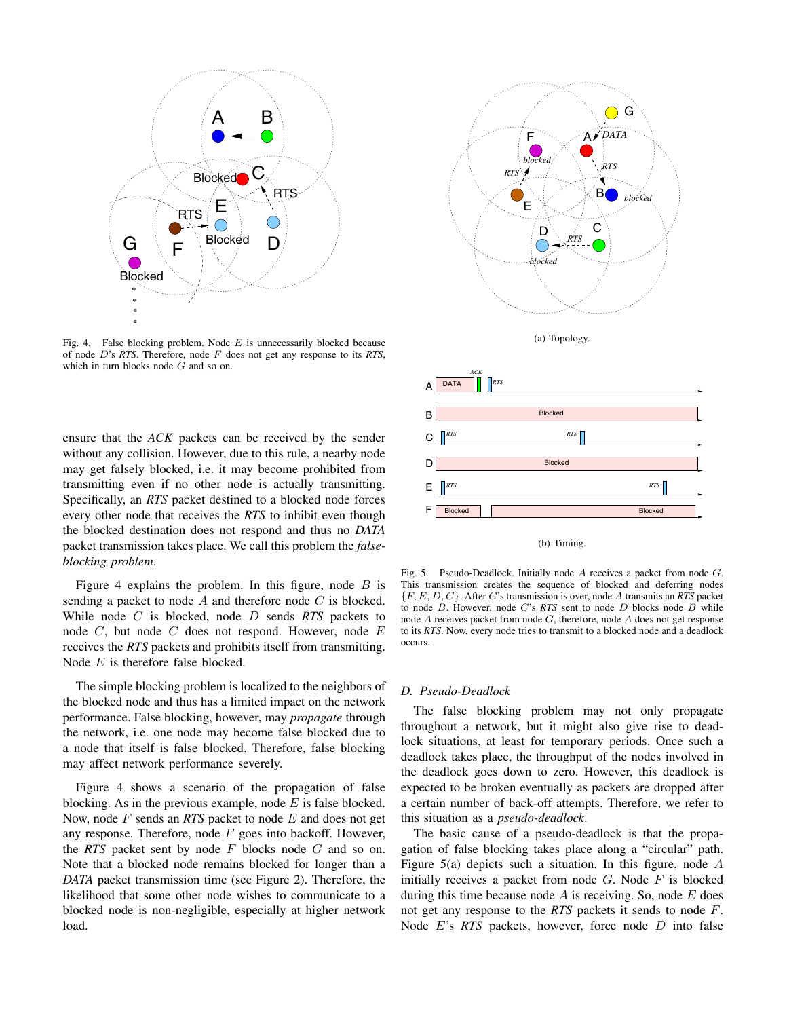

Fig. 4. False blocking problem. Node *E* is unnecessarily blocked because of node *D*'s *RTS*. Therefore, node *F* does not get any response to its *RTS*, which in turn blocks node *G* and so on.

ensure that the *ACK* packets can be received by the sender without any collision. However, due to this rule, a nearby node may get falsely blocked, i.e. it may become prohibited from transmitting even if no other node is actually transmitting. Specifically, an *RTS* packet destined to a blocked node forces every other node that receives the *RTS* to inhibit even though the blocked destination does not respond and thus no *DATA* packet transmission takes place. We call this problem the *falseblocking problem*.

Figure 4 explains the problem. In this figure, node *B* is sending a packet to node *A* and therefore node *C* is blocked. While node *C* is blocked, node *D* sends *RTS* packets to node *C*, but node *C* does not respond. However, node *E* receives the *RTS* packets and prohibits itself from transmitting. Node *E* is therefore false blocked.

The simple blocking problem is localized to the neighbors of the blocked node and thus has a limited impact on the network performance. False blocking, however, may *propagate* through the network, i.e. one node may become false blocked due to a node that itself is false blocked. Therefore, false blocking may affect network performance severely.

Figure 4 shows a scenario of the propagation of false blocking. As in the previous example, node *E* is false blocked. Now, node *F* sends an *RTS* packet to node *E* and does not get any response. Therefore, node *F* goes into backoff. However, the *RTS* packet sent by node *F* blocks node *G* and so on. Note that a blocked node remains blocked for longer than a *DATA* packet transmission time (see Figure 2). Therefore, the likelihood that some other node wishes to communicate to a blocked node is non-negligible, especially at higher network load.







(b) Timing.

Fig. 5. Pseudo-Deadlock. Initially node *A* receives a packet from node *G*. This transmission creates the sequence of blocked and deferring nodes *{F, E, D, C}*. After *G*'s transmission is over, node *A* transmits an *RTS* packet to node *B*. However, node *C*'s *RTS* sent to node *D* blocks node *B* while node *A* receives packet from node *G*, therefore, node *A* does not get response to its *RTS*. Now, every node tries to transmit to a blocked node and a deadlock occurs.

## *D. Pseudo-Deadlock*

The false blocking problem may not only propagate throughout a network, but it might also give rise to deadlock situations, at least for temporary periods. Once such a deadlock takes place, the throughput of the nodes involved in the deadlock goes down to zero. However, this deadlock is expected to be broken eventually as packets are dropped after a certain number of back-off attempts. Therefore, we refer to this situation as a *pseudo-deadlock*.

The basic cause of a pseudo-deadlock is that the propagation of false blocking takes place along a "circular" path. Figure 5(a) depicts such a situation. In this figure, node *A* initially receives a packet from node *G*. Node *F* is blocked during this time because node *A* is receiving. So, node *E* does not get any response to the *RTS* packets it sends to node *F*. Node *E*'s *RTS* packets, however, force node *D* into false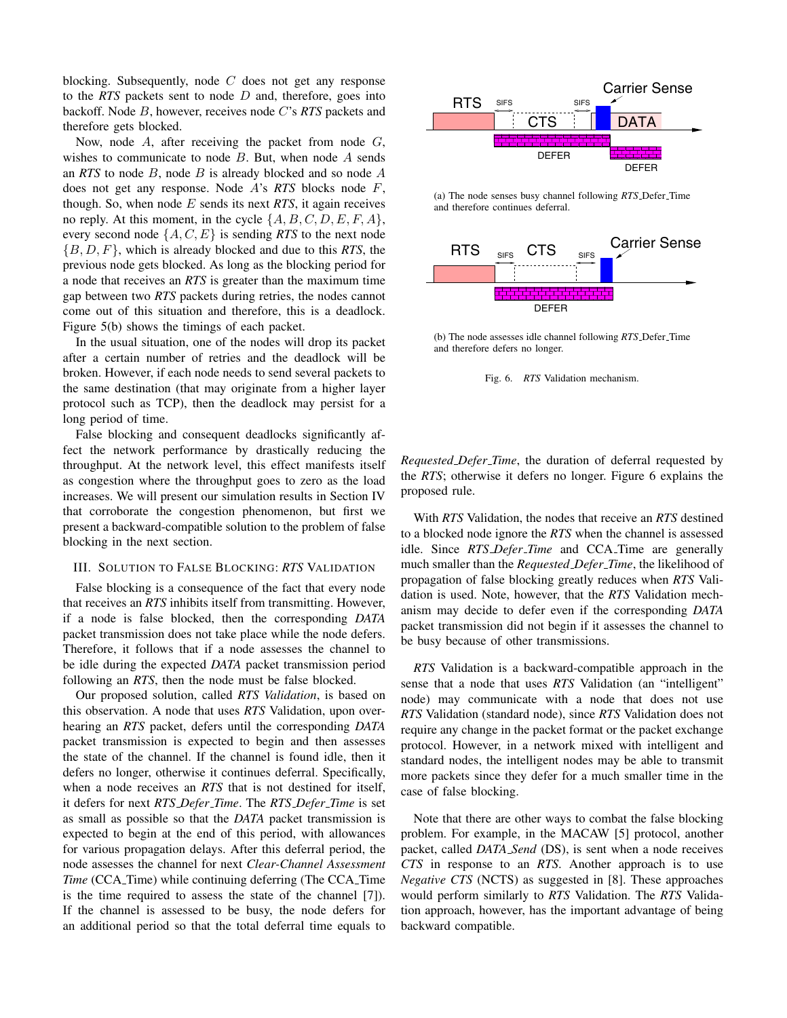blocking. Subsequently, node *C* does not get any response to the *RTS* packets sent to node *D* and, therefore, goes into backoff. Node *B*, however, receives node *C*'s *RTS* packets and therefore gets blocked.

Now, node *A*, after receiving the packet from node *G*, wishes to communicate to node *B*. But, when node *A* sends an *RTS* to node *B*, node *B* is already blocked and so node *A* does not get any response. Node *A*'s *RTS* blocks node *F*, though. So, when node *E* sends its next *RTS*, it again receives no reply. At this moment, in the cycle  $\{A, B, C, D, E, F, A\}$ , every second node  $\{A, C, E\}$  is sending *RTS* to the next node *{B, D, F}*, which is already blocked and due to this *RTS*, the previous node gets blocked. As long as the blocking period for a node that receives an *RTS* is greater than the maximum time gap between two *RTS* packets during retries, the nodes cannot come out of this situation and therefore, this is a deadlock. Figure 5(b) shows the timings of each packet.

In the usual situation, one of the nodes will drop its packet after a certain number of retries and the deadlock will be broken. However, if each node needs to send several packets to the same destination (that may originate from a higher layer protocol such as TCP), then the deadlock may persist for a long period of time.

False blocking and consequent deadlocks significantly affect the network performance by drastically reducing the throughput. At the network level, this effect manifests itself as congestion where the throughput goes to zero as the load increases. We will present our simulation results in Section IV that corroborate the congestion phenomenon, but first we present a backward-compatible solution to the problem of false blocking in the next section.

#### III. SOLUTION TO FALSE BLOCKING: *RTS* VALIDATION

False blocking is a consequence of the fact that every node that receives an *RTS* inhibits itself from transmitting. However, if a node is false blocked, then the corresponding *DATA* packet transmission does not take place while the node defers. Therefore, it follows that if a node assesses the channel to be idle during the expected *DATA* packet transmission period following an *RTS*, then the node must be false blocked.

Our proposed solution, called *RTS Validation*, is based on this observation. A node that uses *RTS* Validation, upon overhearing an *RTS* packet, defers until the corresponding *DATA* packet transmission is expected to begin and then assesses the state of the channel. If the channel is found idle, then it defers no longer, otherwise it continues deferral. Specifically, when a node receives an *RTS* that is not destined for itself, it defers for next *RTS Defer Time*. The *RTS Defer Time* is set as small as possible so that the *DATA* packet transmission is expected to begin at the end of this period, with allowances for various propagation delays. After this deferral period, the node assesses the channel for next *Clear-Channel Assessment Time* (CCA Time) while continuing deferring (The CCA Time is the time required to assess the state of the channel [7]). If the channel is assessed to be busy, the node defers for an additional period so that the total deferral time equals to



(a) The node senses busy channel following *RTS* Defer Time and therefore continues deferral.



(b) The node assesses idle channel following *RTS* Defer Time and therefore defers no longer.



*Requested Defer Time*, the duration of deferral requested by the *RTS*; otherwise it defers no longer. Figure 6 explains the proposed rule.

With *RTS* Validation, the nodes that receive an *RTS* destined to a blocked node ignore the *RTS* when the channel is assessed idle. Since *RTS Defer Time* and CCA Time are generally much smaller than the *Requested Defer Time*, the likelihood of propagation of false blocking greatly reduces when *RTS* Validation is used. Note, however, that the *RTS* Validation mechanism may decide to defer even if the corresponding *DATA* packet transmission did not begin if it assesses the channel to be busy because of other transmissions.

*RTS* Validation is a backward-compatible approach in the sense that a node that uses *RTS* Validation (an "intelligent" node) may communicate with a node that does not use *RTS* Validation (standard node), since *RTS* Validation does not require any change in the packet format or the packet exchange protocol. However, in a network mixed with intelligent and standard nodes, the intelligent nodes may be able to transmit more packets since they defer for a much smaller time in the case of false blocking.

Note that there are other ways to combat the false blocking problem. For example, in the MACAW [5] protocol, another packet, called *DATA Send* (DS), is sent when a node receives *CTS* in response to an *RTS*. Another approach is to use *Negative CTS* (NCTS) as suggested in [8]. These approaches would perform similarly to *RTS* Validation. The *RTS* Validation approach, however, has the important advantage of being backward compatible.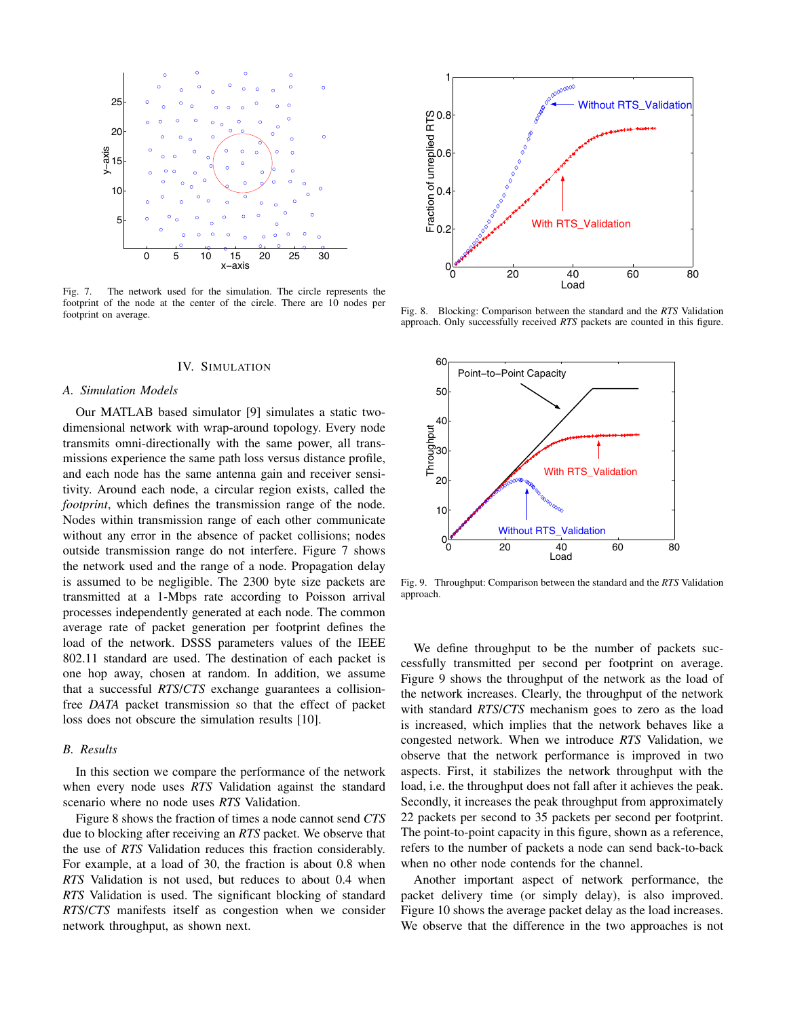

Fig. 7. The network used for the simulation. The circle represents the footprint of the node at the center of the circle. There are 10 nodes per footprint on average.

## IV. SIMULATION

#### *A. Simulation Models*

Our MATLAB based simulator [9] simulates a static twodimensional network with wrap-around topology. Every node transmits omni-directionally with the same power, all transmissions experience the same path loss versus distance profile, and each node has the same antenna gain and receiver sensitivity. Around each node, a circular region exists, called the *footprint*, which defines the transmission range of the node. Nodes within transmission range of each other communicate without any error in the absence of packet collisions; nodes outside transmission range do not interfere. Figure 7 shows the network used and the range of a node. Propagation delay is assumed to be negligible. The 2300 byte size packets are transmitted at a 1-Mbps rate according to Poisson arrival processes independently generated at each node. The common average rate of packet generation per footprint defines the load of the network. DSSS parameters values of the IEEE 802.11 standard are used. The destination of each packet is one hop away, chosen at random. In addition, we assume that a successful *RTS*/*CTS* exchange guarantees a collisionfree *DATA* packet transmission so that the effect of packet loss does not obscure the simulation results [10].

## *B. Results*

In this section we compare the performance of the network when every node uses *RTS* Validation against the standard scenario where no node uses *RTS* Validation.

Figure 8 shows the fraction of times a node cannot send *CTS* due to blocking after receiving an *RTS* packet. We observe that the use of *RTS* Validation reduces this fraction considerably. For example, at a load of 30, the fraction is about 0.8 when *RTS* Validation is not used, but reduces to about 0.4 when *RTS* Validation is used. The significant blocking of standard *RTS*/*CTS* manifests itself as congestion when we consider network throughput, as shown next.



Fig. 8. Blocking: Comparison between the standard and the *RTS* Validation approach. Only successfully received *RTS* packets are counted in this figure.



Fig. 9. Throughput: Comparison between the standard and the *RTS* Validation approach.

We define throughput to be the number of packets successfully transmitted per second per footprint on average. Figure 9 shows the throughput of the network as the load of the network increases. Clearly, the throughput of the network with standard *RTS*/*CTS* mechanism goes to zero as the load is increased, which implies that the network behaves like a congested network. When we introduce *RTS* Validation, we observe that the network performance is improved in two aspects. First, it stabilizes the network throughput with the load, i.e. the throughput does not fall after it achieves the peak. Secondly, it increases the peak throughput from approximately 22 packets per second to 35 packets per second per footprint. The point-to-point capacity in this figure, shown as a reference, refers to the number of packets a node can send back-to-back when no other node contends for the channel.

Another important aspect of network performance, the packet delivery time (or simply delay), is also improved. Figure 10 shows the average packet delay as the load increases. We observe that the difference in the two approaches is not